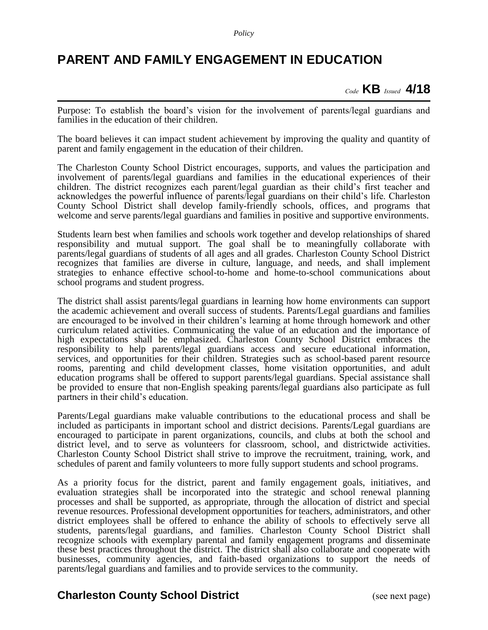*Policy*

## **PARENT AND FAMILY ENGAGEMENT IN EDUCATION**

*Code* **KB** *Issued* **4/18**

Purpose: To establish the board's vision for the involvement of parents/legal guardians and families in the education of their children.

The board believes it can impact student achievement by improving the quality and quantity of parent and family engagement in the education of their children.

The Charleston County School District encourages, supports, and values the participation and involvement of parents/legal guardians and families in the educational experiences of their children. The district recognizes each parent/legal guardian as their child's first teacher and acknowledges the powerful influence of parents/legal guardians on their child's life. Charleston County School District shall develop family-friendly schools, offices, and programs that welcome and serve parents/legal guardians and families in positive and supportive environments.

Students learn best when families and schools work together and develop relationships of shared responsibility and mutual support. The goal shall be to meaningfully collaborate with parents/legal guardians of students of all ages and all grades. Charleston County School District recognizes that families are diverse in culture, language, and needs, and shall implement strategies to enhance effective school-to-home and home-to-school communications about school programs and student progress.

The district shall assist parents/legal guardians in learning how home environments can support the academic achievement and overall success of students. Parents/Legal guardians and families are encouraged to be involved in their children's learning at home through homework and other curriculum related activities. Communicating the value of an education and the importance of high expectations shall be emphasized. Charleston County School District embraces the responsibility to help parents/legal guardians access and secure educational information, services, and opportunities for their children. Strategies such as school-based parent resource rooms, parenting and child development classes, home visitation opportunities, and adult education programs shall be offered to support parents/legal guardians. Special assistance shall be provided to ensure that non-English speaking parents/legal guardians also participate as full partners in their child's education.

Parents/Legal guardians make valuable contributions to the educational process and shall be included as participants in important school and district decisions. Parents/Legal guardians are encouraged to participate in parent organizations, councils, and clubs at both the school and district level, and to serve as volunteers for classroom, school, and districtwide activities. Charleston County School District shall strive to improve the recruitment, training, work, and schedules of parent and family volunteers to more fully support students and school programs.

As a priority focus for the district, parent and family engagement goals, initiatives, and evaluation strategies shall be incorporated into the strategic and school renewal planning processes and shall be supported, as appropriate, through the allocation of district and special revenue resources. Professional development opportunities for teachers, administrators, and other district employees shall be offered to enhance the ability of schools to effectively serve all students, parents/legal guardians, and families. Charleston County School District shall recognize schools with exemplary parental and family engagement programs and disseminate these best practices throughout the district. The district shall also collaborate and cooperate with businesses, community agencies, and faith-based organizations to support the needs of parents/legal guardians and families and to provide services to the community.

## **Charleston County School District** (see next page)